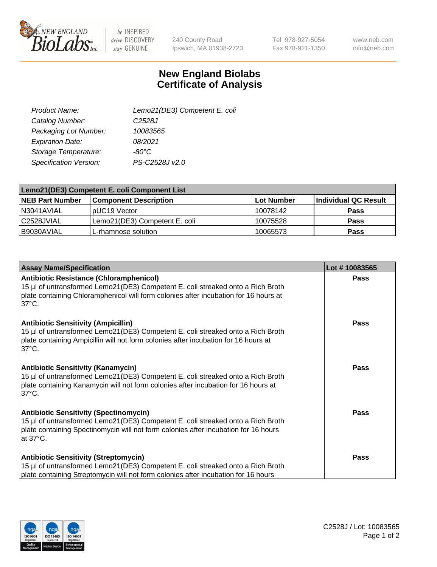

 $be$  INSPIRED drive DISCOVERY stay GENUINE

240 County Road Ipswich, MA 01938-2723 Tel 978-927-5054 Fax 978-921-1350

www.neb.com info@neb.com

## **New England Biolabs Certificate of Analysis**

| Product Name:           | Lemo21(DE3) Competent E. coli |
|-------------------------|-------------------------------|
| Catalog Number:         | C <sub>2528</sub> J           |
| Packaging Lot Number:   | 10083565                      |
| <b>Expiration Date:</b> | 08/2021                       |
| Storage Temperature:    | $-80^{\circ}$ C               |
| Specification Version:  | PS-C2528J v2.0                |

| Lemo21(DE3) Competent E. coli Component List |                               |            |                      |  |
|----------------------------------------------|-------------------------------|------------|----------------------|--|
| <b>NEB Part Number</b>                       | <b>Component Description</b>  | Lot Number | Individual QC Result |  |
| I N3041AVIAL                                 | IpUC19 Vector                 | 10078142   | <b>Pass</b>          |  |
| l C2528JVIAL                                 | Lemo21(DE3) Competent E. coli | 10075528   | <b>Pass</b>          |  |
| B9030AVIAL                                   | L-rhamnose solution           | 10065573   | <b>Pass</b>          |  |

| <b>Assay Name/Specification</b>                                                                                                                                                                                                              | Lot #10083565 |
|----------------------------------------------------------------------------------------------------------------------------------------------------------------------------------------------------------------------------------------------|---------------|
| <b>Antibiotic Resistance (Chloramphenicol)</b><br>15 µl of untransformed Lemo21(DE3) Competent E. coli streaked onto a Rich Broth<br>plate containing Chloramphenicol will form colonies after incubation for 16 hours at<br>$37^{\circ}$ C. | <b>Pass</b>   |
| <b>Antibiotic Sensitivity (Ampicillin)</b><br>15 µl of untransformed Lemo21(DE3) Competent E. coli streaked onto a Rich Broth<br>plate containing Ampicillin will not form colonies after incubation for 16 hours at<br>$37^{\circ}$ C.      | Pass          |
| <b>Antibiotic Sensitivity (Kanamycin)</b><br>15 µl of untransformed Lemo21(DE3) Competent E. coli streaked onto a Rich Broth<br>plate containing Kanamycin will not form colonies after incubation for 16 hours at<br>$37^{\circ}$ C.        | Pass          |
| <b>Antibiotic Sensitivity (Spectinomycin)</b><br>15 µl of untransformed Lemo21(DE3) Competent E. coli streaked onto a Rich Broth<br>plate containing Spectinomycin will not form colonies after incubation for 16 hours<br>at 37°C.          | <b>Pass</b>   |
| <b>Antibiotic Sensitivity (Streptomycin)</b><br>15 µl of untransformed Lemo21(DE3) Competent E. coli streaked onto a Rich Broth<br>plate containing Streptomycin will not form colonies after incubation for 16 hours                        | Pass          |